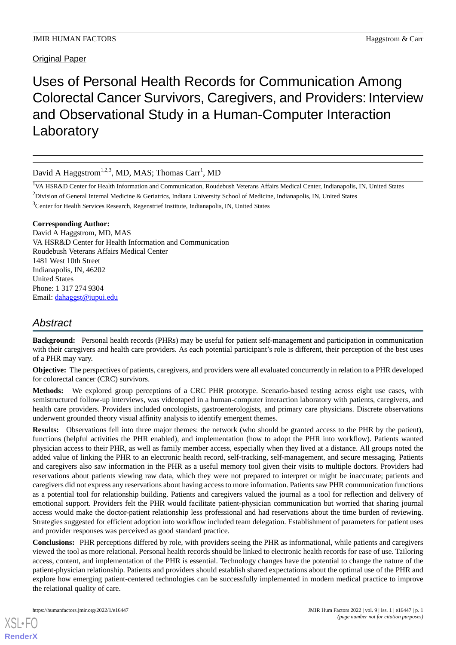# Uses of Personal Health Records for Communication Among Colorectal Cancer Survivors, Caregivers, and Providers: Interview and Observational Study in a Human-Computer Interaction Laboratory

David A Haggstrom<sup>1,2,3</sup>, MD, MAS; Thomas Carr<sup>1</sup>, MD

<sup>1</sup>VA HSR&D Center for Health Information and Communication, Roudebush Veterans Affairs Medical Center, Indianapolis, IN, United States  $2$ Division of General Internal Medicine & Geriatrics, Indiana University School of Medicine, Indianapolis, IN, United States

<sup>3</sup>Center for Health Services Research, Regenstrief Institute, Indianapolis, IN, United States

#### **Corresponding Author:**

David A Haggstrom, MD, MAS VA HSR&D Center for Health Information and Communication Roudebush Veterans Affairs Medical Center 1481 West 10th Street Indianapolis, IN, 46202 United States Phone: 1 317 274 9304 Email: [dahaggst@iupui.edu](mailto:dahaggst@iupui.edu)

# *Abstract*

**Background:** Personal health records (PHRs) may be useful for patient self-management and participation in communication with their caregivers and health care providers. As each potential participant's role is different, their perception of the best uses of a PHR may vary.

**Objective:** The perspectives of patients, caregivers, and providers were all evaluated concurrently in relation to a PHR developed for colorectal cancer (CRC) survivors.

**Methods:** We explored group perceptions of a CRC PHR prototype. Scenario-based testing across eight use cases, with semistructured follow-up interviews, was videotaped in a human-computer interaction laboratory with patients, caregivers, and health care providers. Providers included oncologists, gastroenterologists, and primary care physicians. Discrete observations underwent grounded theory visual affinity analysis to identify emergent themes.

**Results:** Observations fell into three major themes: the network (who should be granted access to the PHR by the patient), functions (helpful activities the PHR enabled), and implementation (how to adopt the PHR into workflow). Patients wanted physician access to their PHR, as well as family member access, especially when they lived at a distance. All groups noted the added value of linking the PHR to an electronic health record, self-tracking, self-management, and secure messaging. Patients and caregivers also saw information in the PHR as a useful memory tool given their visits to multiple doctors. Providers had reservations about patients viewing raw data, which they were not prepared to interpret or might be inaccurate; patients and caregivers did not express any reservations about having access to more information. Patients saw PHR communication functions as a potential tool for relationship building. Patients and caregivers valued the journal as a tool for reflection and delivery of emotional support. Providers felt the PHR would facilitate patient-physician communication but worried that sharing journal access would make the doctor-patient relationship less professional and had reservations about the time burden of reviewing. Strategies suggested for efficient adoption into workflow included team delegation. Establishment of parameters for patient uses and provider responses was perceived as good standard practice.

**Conclusions:** PHR perceptions differed by role, with providers seeing the PHR as informational, while patients and caregivers viewed the tool as more relational. Personal health records should be linked to electronic health records for ease of use. Tailoring access, content, and implementation of the PHR is essential. Technology changes have the potential to change the nature of the patient-physician relationship. Patients and providers should establish shared expectations about the optimal use of the PHR and explore how emerging patient-centered technologies can be successfully implemented in modern medical practice to improve the relational quality of care.

[XSL](http://www.w3.org/Style/XSL)•FO **[RenderX](http://www.renderx.com/)**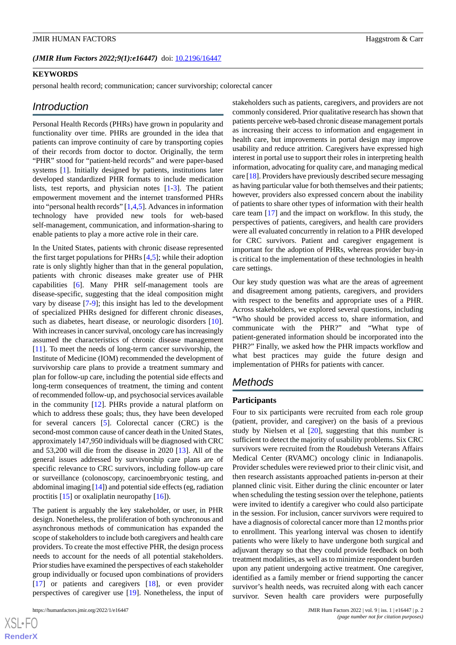#### (JMIR Hum Factors 2022;9(1):e16447) doi: [10.2196/16447](http://dx.doi.org/10.2196/16447)

#### **KEYWORDS**

personal health record; communication; cancer survivorship; colorectal cancer

#### *Introduction*

Personal Health Records (PHRs) have grown in popularity and functionality over time. PHRs are grounded in the idea that patients can improve continuity of care by transporting copies of their records from doctor to doctor. Originally, the term "PHR" stood for "patient-held records" and were paper-based systems [[1\]](#page-7-0). Initially designed by patients, institutions later developed standardized PHR formats to include medication lists, test reports, and physician notes [[1](#page-7-0)[-3](#page-7-1)]. The patient empowerment movement and the internet transformed PHRs into "personal health records" [[1](#page-7-0)[,4](#page-8-0),[5\]](#page-8-1). Advances in information technology have provided new tools for web-based self-management, communication, and information-sharing to enable patients to play a more active role in their care.

In the United States, patients with chronic disease represented the first target populations for PHRs [\[4](#page-8-0),[5\]](#page-8-1); while their adoption rate is only slightly higher than that in the general population, patients with chronic diseases make greater use of PHR capabilities [\[6](#page-8-2)]. Many PHR self-management tools are disease-specific, suggesting that the ideal composition might vary by disease [[7-](#page-8-3)[9](#page-8-4)]; this insight has led to the development of specialized PHRs designed for different chronic diseases, such as diabetes, heart disease, or neurologic disorders [[10\]](#page-8-5). With increases in cancer survival, oncology care has increasingly assumed the characteristics of chronic disease management [[11\]](#page-8-6). To meet the needs of long-term cancer survivorship, the Institute of Medicine (IOM) recommended the development of survivorship care plans to provide a treatment summary and plan for follow-up care, including the potential side effects and long-term consequences of treatment, the timing and content of recommended follow-up, and psychosocial services available in the community [[12\]](#page-8-7). PHRs provide a natural platform on which to address these goals; thus, they have been developed for several cancers [[5\]](#page-8-1). Colorectal cancer (CRC) is the second-most common cause of cancer death in the United States, approximately 147,950 individuals will be diagnosed with CRC and 53,200 will die from the disease in 2020 [[13\]](#page-8-8). All of the general issues addressed by survivorship care plans are of specific relevance to CRC survivors, including follow-up care or surveillance (colonoscopy, carcinoembryonic testing, and abdominal imaging [[14](#page-8-9)]) and potential side effects (eg, radiation proctitis  $[15]$  $[15]$  or oxaliplatin neuropathy  $[16]$  $[16]$ ).

The patient is arguably the key stakeholder, or user, in PHR design. Nonetheless, the proliferation of both synchronous and asynchronous methods of communication has expanded the scope of stakeholders to include both caregivers and health care providers. To create the most effective PHR, the design process needs to account for the needs of all potential stakeholders. Prior studies have examined the perspectives of each stakeholder group individually or focused upon combinations of providers [[17\]](#page-8-12) or patients and caregivers [\[18](#page-8-13)], or even provider perspectives of caregiver use [\[19](#page-8-14)]. Nonetheless, the input of

 $XS$ -FO **[RenderX](http://www.renderx.com/)** stakeholders such as patients, caregivers, and providers are not commonly considered. Prior qualitative research has shown that patients perceive web-based chronic disease management portals as increasing their access to information and engagement in health care, but improvements in portal design may improve usability and reduce attrition. Caregivers have expressed high interest in portal use to support their roles in interpreting health information, advocating for quality care, and managing medical care [\[18\]](#page-8-13). Providers have previously described secure messaging as having particular value for both themselves and their patients; however, providers also expressed concern about the inability of patients to share other types of information with their health care team [\[17](#page-8-12)] and the impact on workflow. In this study, the perspectives of patients, caregivers, and health care providers were all evaluated concurrently in relation to a PHR developed for CRC survivors. Patient and caregiver engagement is important for the adoption of PHRs, whereas provider buy-in is critical to the implementation of these technologies in health care settings.

Our key study question was what are the areas of agreement and disagreement among patients, caregivers, and providers with respect to the benefits and appropriate uses of a PHR. Across stakeholders, we explored several questions, including "Who should be provided access to, share information, and communicate with the PHR?" and "What type of patient-generated information should be incorporated into the PHR?" Finally, we asked how the PHR impacts workflow and what best practices may guide the future design and implementation of PHRs for patients with cancer.

# *Methods*

#### **Participants**

Four to six participants were recruited from each role group (patient, provider, and caregiver) on the basis of a previous study by Nielsen et al [[20\]](#page-8-15), suggesting that this number is sufficient to detect the majority of usability problems. Six CRC survivors were recruited from the Roudebush Veterans Affairs Medical Center (RVAMC) oncology clinic in Indianapolis. Provider schedules were reviewed prior to their clinic visit, and then research assistants approached patients in-person at their planned clinic visit. Either during the clinic encounter or later when scheduling the testing session over the telephone, patients were invited to identify a caregiver who could also participate in the session. For inclusion, cancer survivors were required to have a diagnosis of colorectal cancer more than 12 months prior to enrollment. This yearlong interval was chosen to identify patients who were likely to have undergone both surgical and adjuvant therapy so that they could provide feedback on both treatment modalities, as well as to minimize respondent burden upon any patient undergoing active treatment. One caregiver, identified as a family member or friend supporting the cancer survivor's health needs, was recruited along with each cancer survivor. Seven health care providers were purposefully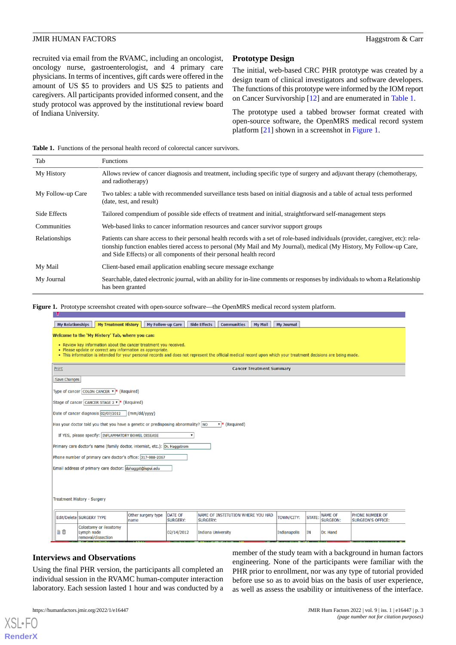recruited via email from the RVAMC, including an oncologist, oncology nurse, gastroenterologist, and 4 primary care physicians. In terms of incentives, gift cards were offered in the amount of US \$5 to providers and US \$25 to patients and caregivers. All participants provided informed consent, and the study protocol was approved by the institutional review board of Indiana University.

# **Prototype Design**

The initial, web-based CRC PHR prototype was created by a design team of clinical investigators and software developers. The functions of this prototype were informed by the IOM report on Cancer Survivorship [\[12](#page-8-7)] and are enumerated in [Table 1](#page-2-0).

The prototype used a tabbed browser format created with open-source software, the OpenMRS medical record system platform [[21\]](#page-8-16) shown in a screenshot in [Figure 1.](#page-2-1)

<span id="page-2-0"></span>**Table 1.** Functions of the personal health record of colorectal cancer survivors.

| Tab               | <b>Functions</b>                                                                                                                                                                                                                                                                                                                  |  |  |  |  |  |
|-------------------|-----------------------------------------------------------------------------------------------------------------------------------------------------------------------------------------------------------------------------------------------------------------------------------------------------------------------------------|--|--|--|--|--|
| My History        | Allows review of cancer diagnosis and treatment, including specific type of surgery and adjuvant therapy (chemotherapy,<br>and radiotherapy)                                                                                                                                                                                      |  |  |  |  |  |
| My Follow-up Care | Two tables: a table with recommended surveillance tests based on initial diagnosis and a table of actual tests performed<br>(date, test, and result)                                                                                                                                                                              |  |  |  |  |  |
| Side Effects      | Tailored compendium of possible side effects of treatment and initial, straightforward self-management steps                                                                                                                                                                                                                      |  |  |  |  |  |
| Communities       | Web-based links to cancer information resources and cancer survivor support groups                                                                                                                                                                                                                                                |  |  |  |  |  |
| Relationships     | Patients can share access to their personal health records with a set of role-based individuals (provider, caregiver, etc): rela-<br>tionship function enables tiered access to personal (My Mail and My Journal), medical (My History, My Follow-up Care,<br>and Side Effects) or all components of their personal health record |  |  |  |  |  |
| My Mail           | Client-based email application enabling secure message exchange                                                                                                                                                                                                                                                                   |  |  |  |  |  |
| My Journal        | Searchable, dated electronic journal, with an ability for in-line comments or responses by individuals to whom a Relationship<br>has been granted                                                                                                                                                                                 |  |  |  |  |  |

<span id="page-2-1"></span>**Figure 1.** Prototype screenshot created with open-source software—the OpenMRS medical record system platform.

|                                                                                                                                                                                                                                                                                                    | <b>My Relationships</b>                                                    | <b>My Treatment History</b>                                                      | My Follow-up Care          |                                   | <b>Side Effects</b><br><b>Communities</b><br><b>My Mail</b> | <b>My Journal</b> |        |                            |                                             |
|----------------------------------------------------------------------------------------------------------------------------------------------------------------------------------------------------------------------------------------------------------------------------------------------------|----------------------------------------------------------------------------|----------------------------------------------------------------------------------|----------------------------|-----------------------------------|-------------------------------------------------------------|-------------------|--------|----------------------------|---------------------------------------------|
| Welcome to the 'My History' Tab, where you can:                                                                                                                                                                                                                                                    |                                                                            |                                                                                  |                            |                                   |                                                             |                   |        |                            |                                             |
| • Review key information about the cancer treatment you received.<br>• Please update or correct any information as appropriate.<br>. This information is intended for your personal records and does not represent the official medical record upon which your treatment decisions are being made. |                                                                            |                                                                                  |                            |                                   |                                                             |                   |        |                            |                                             |
|                                                                                                                                                                                                                                                                                                    | Print                                                                      | <b>Cancer Treatment Summary</b>                                                  |                            |                                   |                                                             |                   |        |                            |                                             |
|                                                                                                                                                                                                                                                                                                    | Save Changes                                                               |                                                                                  |                            |                                   |                                                             |                   |        |                            |                                             |
|                                                                                                                                                                                                                                                                                                    | Type of cancer COLON CANCER $\bullet$ * (Required)                         |                                                                                  |                            |                                   |                                                             |                   |        |                            |                                             |
|                                                                                                                                                                                                                                                                                                    | Stage of cancer CANCER STAGE 2 v * (Required)                              |                                                                                  |                            |                                   |                                                             |                   |        |                            |                                             |
|                                                                                                                                                                                                                                                                                                    | Date of cancer diagnosis 02/07/2012<br>$\frac{1}{2}$ (mm/dd/yyyy)          |                                                                                  |                            |                                   |                                                             |                   |        |                            |                                             |
|                                                                                                                                                                                                                                                                                                    |                                                                            | Has your doctor told you that you have a genetic or predisposing abnormality? NO |                            |                                   | $\overline{\phantom{a}}$ (Required)                         |                   |        |                            |                                             |
|                                                                                                                                                                                                                                                                                                    | If YES, please specify: INFLAMMATORY BOWEL DISEASE<br>,                    |                                                                                  |                            |                                   |                                                             |                   |        |                            |                                             |
|                                                                                                                                                                                                                                                                                                    | Primary care doctor's name (family doctor, internist, etc.): Dr. Haggstrom |                                                                                  |                            |                                   |                                                             |                   |        |                            |                                             |
|                                                                                                                                                                                                                                                                                                    | Phone number of primary care doctor's office: 317-988-2067                 |                                                                                  |                            |                                   |                                                             |                   |        |                            |                                             |
| Email address of primary care doctor: dahaggst@iupui.edu                                                                                                                                                                                                                                           |                                                                            |                                                                                  |                            |                                   |                                                             |                   |        |                            |                                             |
|                                                                                                                                                                                                                                                                                                    |                                                                            |                                                                                  |                            |                                   |                                                             |                   |        |                            |                                             |
|                                                                                                                                                                                                                                                                                                    |                                                                            |                                                                                  |                            |                                   |                                                             |                   |        |                            |                                             |
| Treatment History - Surgery                                                                                                                                                                                                                                                                        |                                                                            |                                                                                  |                            |                                   |                                                             |                   |        |                            |                                             |
|                                                                                                                                                                                                                                                                                                    |                                                                            | Edit/Delete SURGERY TYPE                                                         | Other surgery type<br>name | <b>DATE OF</b><br><b>SURGERY:</b> | NAME OF INSTITUTION WHERE YOU HAD<br><b>SURGERY:</b>        | TOWN/CITY:        | STATE: | <b>NAME OF</b><br>SURGEON: | PHONE NUMBER OF<br><b>SURGEON'S OFFICE:</b> |
|                                                                                                                                                                                                                                                                                                    | Dû                                                                         | Colostomy or ileostomy<br>Lymph node<br>removal/dissection                       |                            | 02/14/2012                        | <b>Indiana University</b>                                   | Indianapolis      | IN     | Dr. Hand                   |                                             |

# **Interviews and Observations**

[XSL](http://www.w3.org/Style/XSL)•FO **[RenderX](http://www.renderx.com/)**

Using the final PHR version, the participants all completed an individual session in the RVAMC human-computer interaction laboratory. Each session lasted 1 hour and was conducted by a

member of the study team with a background in human factors engineering. None of the participants were familiar with the PHR prior to enrollment, nor was any type of tutorial provided before use so as to avoid bias on the basis of user experience, as well as assess the usability or intuitiveness of the interface.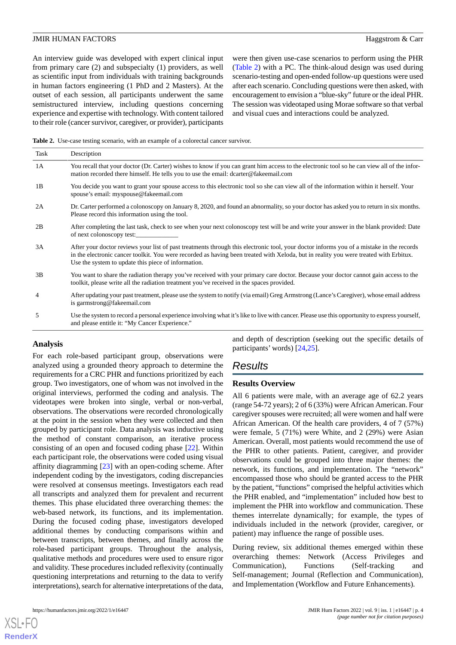An interview guide was developed with expert clinical input from primary care (2) and subspecialty (1) providers, as well as scientific input from individuals with training backgrounds in human factors engineering (1 PhD and 2 Masters). At the outset of each session, all participants underwent the same semistructured interview, including questions concerning experience and expertise with technology. With content tailored to their role (cancer survivor, caregiver, or provider), participants

were then given use-case scenarios to perform using the PHR ([Table 2](#page-3-0)) with a PC. The think-aloud design was used during scenario-testing and open-ended follow-up questions were used after each scenario. Concluding questions were then asked, with encouragement to envision a "blue-sky" future or the ideal PHR. The session was videotaped using Morae software so that verbal and visual cues and interactions could be analyzed.

<span id="page-3-0"></span>**Table 2.** Use-case testing scenario, with an example of a colorectal cancer survivor.

| Task           | Description                                                                                                                                                                                                                                                                                                                              |
|----------------|------------------------------------------------------------------------------------------------------------------------------------------------------------------------------------------------------------------------------------------------------------------------------------------------------------------------------------------|
| 1A             | You recall that your doctor (Dr. Carter) wishes to know if you can grant him access to the electronic tool so he can view all of the infor-<br>mation recorded there himself. He tells you to use the email: dcarter@fakeemail.com                                                                                                       |
| 1B             | You decide you want to grant your spouse access to this electronic tool so she can view all of the information within it herself. Your<br>spouse's email: myspouse@fakeemail.com                                                                                                                                                         |
| 2A             | Dr. Carter performed a colonoscopy on January 8, 2020, and found an abnormality, so your doctor has asked you to return in six months.<br>Please record this information using the tool.                                                                                                                                                 |
| 2B             | After completing the last task, check to see when your next colonoscopy test will be and write your answer in the blank provided: Date<br>of next colonoscopy test:                                                                                                                                                                      |
| 3A             | After your doctor reviews your list of past treatments through this electronic tool, your doctor informs you of a mistake in the records<br>in the electronic cancer toolkit. You were recorded as having been treated with Xeloda, but in reality you were treated with Erbitux.<br>Use the system to update this piece of information. |
| 3B             | You want to share the radiation therapy you've received with your primary care doctor. Because your doctor cannot gain access to the<br>toolkit, please write all the radiation treatment you've received in the spaces provided.                                                                                                        |
| $\overline{4}$ | After updating your past treatment, please use the system to notify (via email) Greg Armstrong (Lance's Caregiver), whose email address<br>is garmstrong@fakeemail.com                                                                                                                                                                   |
| 5              | Use the system to record a personal experience involving what it's like to live with cancer. Please use this opportunity to express yourself,<br>and please entitle it: "My Cancer Experience."                                                                                                                                          |

#### **Analysis**

For each role-based participant group, observations were analyzed using a grounded theory approach to determine the requirements for a CRC PHR and functions prioritized by each group. Two investigators, one of whom was not involved in the original interviews, performed the coding and analysis. The videotapes were broken into single, verbal or non-verbal, observations. The observations were recorded chronologically at the point in the session when they were collected and then grouped by participant role. Data analysis was inductive using the method of constant comparison, an iterative process consisting of an open and focused coding phase [\[22](#page-8-17)]. Within each participant role, the observations were coded using visual affinity diagramming [[23\]](#page-8-18) with an open-coding scheme. After independent coding by the investigators, coding discrepancies were resolved at consensus meetings. Investigators each read all transcripts and analyzed them for prevalent and recurrent themes. This phase elucidated three overarching themes: the web-based network, its functions, and its implementation. During the focused coding phase, investigators developed additional themes by conducting comparisons within and between transcripts, between themes, and finally across the role-based participant groups. Throughout the analysis, qualitative methods and procedures were used to ensure rigor and validity. These procedures included reflexivity (continually questioning interpretations and returning to the data to verify interpretations), search for alternative interpretations of the data,

[XSL](http://www.w3.org/Style/XSL)•FO **[RenderX](http://www.renderx.com/)**

and depth of description (seeking out the specific details of participants' words) [[24](#page-9-0)[,25](#page-9-1)].

# *Results*

#### **Results Overview**

All 6 patients were male, with an average age of 62.2 years (range 54-72 years); 2 of 6 (33%) were African American. Four caregiver spouses were recruited; all were women and half were African American. Of the health care providers, 4 of 7 (57%) were female, 5 (71%) were White, and 2 (29%) were Asian American. Overall, most patients would recommend the use of the PHR to other patients. Patient, caregiver, and provider observations could be grouped into three major themes: the network, its functions, and implementation. The "network" encompassed those who should be granted access to the PHR by the patient, "functions" comprised the helpful activities which the PHR enabled, and "implementation" included how best to implement the PHR into workflow and communication. These themes interrelate dynamically; for example, the types of individuals included in the network (provider, caregiver, or patient) may influence the range of possible uses.

During review, six additional themes emerged within these overarching themes: Network (Access Privileges and Communication), Functions (Self-tracking and Self-management; Journal (Reflection and Communication), and Implementation (Workflow and Future Enhancements).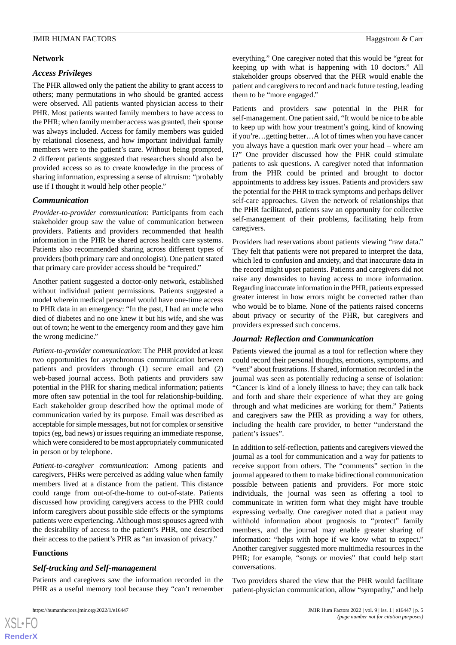# **Network**

# *Access Privileges*

The PHR allowed only the patient the ability to grant access to others; many permutations in who should be granted access were observed. All patients wanted physician access to their PHR. Most patients wanted family members to have access to the PHR; when family member access was granted, their spouse was always included. Access for family members was guided by relational closeness, and how important individual family members were to the patient's care. Without being prompted, 2 different patients suggested that researchers should also be provided access so as to create knowledge in the process of sharing information, expressing a sense of altruism: "probably use if I thought it would help other people."

# *Communication*

*Provider-to-provider communication*: Participants from each stakeholder group saw the value of communication between providers. Patients and providers recommended that health information in the PHR be shared across health care systems. Patients also recommended sharing across different types of providers (both primary care and oncologist). One patient stated that primary care provider access should be "required."

Another patient suggested a doctor-only network, established without individual patient permissions. Patients suggested a model wherein medical personnel would have one-time access to PHR data in an emergency: "In the past, I had an uncle who died of diabetes and no one knew it but his wife, and she was out of town; he went to the emergency room and they gave him the wrong medicine."

*Patient-to-provider communication*: The PHR provided at least two opportunities for asynchronous communication between patients and providers through (1) secure email and (2) web-based journal access. Both patients and providers saw potential in the PHR for sharing medical information; patients more often saw potential in the tool for relationship-building. Each stakeholder group described how the optimal mode of communication varied by its purpose. Email was described as acceptable for simple messages, but not for complex or sensitive topics (eg, bad news) or issues requiring an immediate response, which were considered to be most appropriately communicated in person or by telephone.

*Patient-to-caregiver communication*: Among patients and caregivers, PHRs were perceived as adding value when family members lived at a distance from the patient. This distance could range from out-of-the-home to out-of-state. Patients discussed how providing caregivers access to the PHR could inform caregivers about possible side effects or the symptoms patients were experiencing. Although most spouses agreed with the desirability of access to the patient's PHR, one described their access to the patient's PHR as "an invasion of privacy."

# **Functions**

# *Self-tracking and Self-management*

Patients and caregivers saw the information recorded in the PHR as a useful memory tool because they "can't remember

everything." One caregiver noted that this would be "great for keeping up with what is happening with 10 doctors." All stakeholder groups observed that the PHR would enable the patient and caregivers to record and track future testing, leading them to be "more engaged."

Patients and providers saw potential in the PHR for self-management. One patient said, "It would be nice to be able to keep up with how your treatment's going, kind of knowing if you're…getting better…A lot of times when you have cancer you always have a question mark over your head – where am I?" One provider discussed how the PHR could stimulate patients to ask questions. A caregiver noted that information from the PHR could be printed and brought to doctor appointments to address key issues. Patients and providers saw the potential for the PHR to track symptoms and perhaps deliver self-care approaches. Given the network of relationships that the PHR facilitated, patients saw an opportunity for collective self-management of their problems, facilitating help from caregivers.

Providers had reservations about patients viewing "raw data." They felt that patients were not prepared to interpret the data, which led to confusion and anxiety, and that inaccurate data in the record might upset patients. Patients and caregivers did not raise any downsides to having access to more information. Regarding inaccurate information in the PHR, patients expressed greater interest in how errors might be corrected rather than who would be to blame. None of the patients raised concerns about privacy or security of the PHR, but caregivers and providers expressed such concerns.

#### *Journal: Reflection and Communication*

Patients viewed the journal as a tool for reflection where they could record their personal thoughts, emotions, symptoms, and "vent" about frustrations. If shared, information recorded in the journal was seen as potentially reducing a sense of isolation: "Cancer is kind of a lonely illness to have; they can talk back and forth and share their experience of what they are going through and what medicines are working for them." Patients and caregivers saw the PHR as providing a way for others, including the health care provider, to better "understand the patient's issues".

In addition to self-reflection, patients and caregivers viewed the journal as a tool for communication and a way for patients to receive support from others. The "comments" section in the journal appeared to them to make bidirectional communication possible between patients and providers. For more stoic individuals, the journal was seen as offering a tool to communicate in written form what they might have trouble expressing verbally. One caregiver noted that a patient may withhold information about prognosis to "protect" family members, and the journal may enable greater sharing of information: "helps with hope if we know what to expect." Another caregiver suggested more multimedia resources in the PHR; for example, "songs or movies" that could help start conversations.

Two providers shared the view that the PHR would facilitate patient-physician communication, allow "sympathy," and help

```
XSI - F(RenderX
```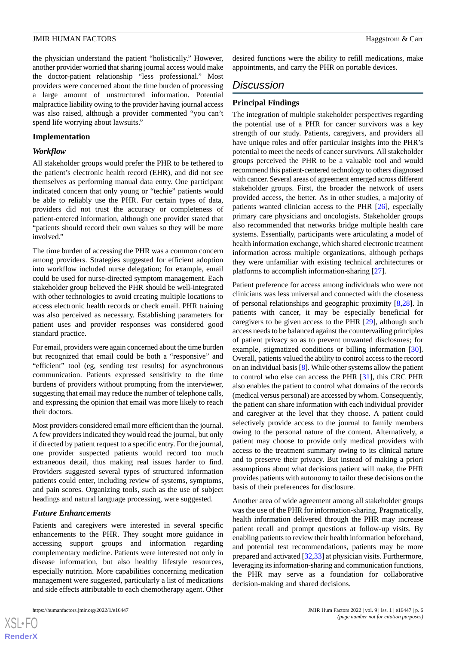the physician understand the patient "holistically." However, another provider worried that sharing journal access would make the doctor-patient relationship "less professional." Most providers were concerned about the time burden of processing a large amount of unstructured information. Potential malpractice liability owing to the provider having journal access was also raised, although a provider commented "you can't spend life worrying about lawsuits."

#### **Implementation**

# *Workflow*

All stakeholder groups would prefer the PHR to be tethered to the patient's electronic health record (EHR), and did not see themselves as performing manual data entry. One participant indicated concern that only young or "techie" patients would be able to reliably use the PHR. For certain types of data, providers did not trust the accuracy or completeness of patient-entered information, although one provider stated that "patients should record their own values so they will be more involved."

The time burden of accessing the PHR was a common concern among providers. Strategies suggested for efficient adoption into workflow included nurse delegation; for example, email could be used for nurse-directed symptom management. Each stakeholder group believed the PHR should be well-integrated with other technologies to avoid creating multiple locations to access electronic health records or check email. PHR training was also perceived as necessary. Establishing parameters for patient uses and provider responses was considered good standard practice.

For email, providers were again concerned about the time burden but recognized that email could be both a "responsive" and "efficient" tool (eg, sending test results) for asynchronous communication. Patients expressed sensitivity to the time burdens of providers without prompting from the interviewer, suggesting that email may reduce the number of telephone calls, and expressing the opinion that email was more likely to reach their doctors.

Most providers considered email more efficient than the journal. A few providers indicated they would read the journal, but only if directed by patient request to a specific entry. For the journal, one provider suspected patients would record too much extraneous detail, thus making real issues harder to find. Providers suggested several types of structured information patients could enter, including review of systems, symptoms, and pain scores. Organizing tools, such as the use of subject headings and natural language processing, were suggested.

#### *Future Enhancements*

Patients and caregivers were interested in several specific enhancements to the PHR. They sought more guidance in accessing support groups and information regarding complementary medicine. Patients were interested not only in disease information, but also healthy lifestyle resources, especially nutrition. More capabilities concerning medication management were suggested, particularly a list of medications and side effects attributable to each chemotherapy agent. Other

desired functions were the ability to refill medications, make appointments, and carry the PHR on portable devices.

# *Discussion*

# **Principal Findings**

The integration of multiple stakeholder perspectives regarding the potential use of a PHR for cancer survivors was a key strength of our study. Patients, caregivers, and providers all have unique roles and offer particular insights into the PHR's potential to meet the needs of cancer survivors. All stakeholder groups perceived the PHR to be a valuable tool and would recommend this patient-centered technology to others diagnosed with cancer. Several areas of agreement emerged across different stakeholder groups. First, the broader the network of users provided access, the better. As in other studies, a majority of patients wanted clinician access to the PHR [\[26](#page-9-2)], especially primary care physicians and oncologists. Stakeholder groups also recommended that networks bridge multiple health care systems. Essentially, participants were articulating a model of health information exchange, which shared electronic treatment information across multiple organizations, although perhaps they were unfamiliar with existing technical architectures or platforms to accomplish information-sharing [[27\]](#page-9-3).

Patient preference for access among individuals who were not clinicians was less universal and connected with the closeness of personal relationships and geographic proximity [[8](#page-8-19)[,28](#page-9-4)]. In patients with cancer, it may be especially beneficial for caregivers to be given access to the PHR [\[29](#page-9-5)], although such access needs to be balanced against the countervailing principles of patient privacy so as to prevent unwanted disclosures; for example, stigmatized conditions or billing information [[30\]](#page-9-6). Overall, patients valued the ability to control access to the record on an individual basis [[8\]](#page-8-19). While other systems allow the patient to control who else can access the PHR [\[31](#page-9-7)], this CRC PHR also enables the patient to control what domains of the records (medical versus personal) are accessed by whom. Consequently, the patient can share information with each individual provider and caregiver at the level that they choose. A patient could selectively provide access to the journal to family members owing to the personal nature of the content. Alternatively, a patient may choose to provide only medical providers with access to the treatment summary owing to its clinical nature and to preserve their privacy. But instead of making a priori assumptions about what decisions patient will make, the PHR provides patients with autonomy to tailor these decisions on the basis of their preferences for disclosure.

Another area of wide agreement among all stakeholder groups was the use of the PHR for information-sharing. Pragmatically, health information delivered through the PHR may increase patient recall and prompt questions at follow-up visits. By enabling patients to review their health information beforehand, and potential test recommendations, patients may be more prepared and activated [[32,](#page-9-8)[33](#page-9-9)] at physician visits. Furthermore, leveraging its information-sharing and communication functions, the PHR may serve as a foundation for collaborative decision-making and shared decisions.

 $XS$  • FO **[RenderX](http://www.renderx.com/)**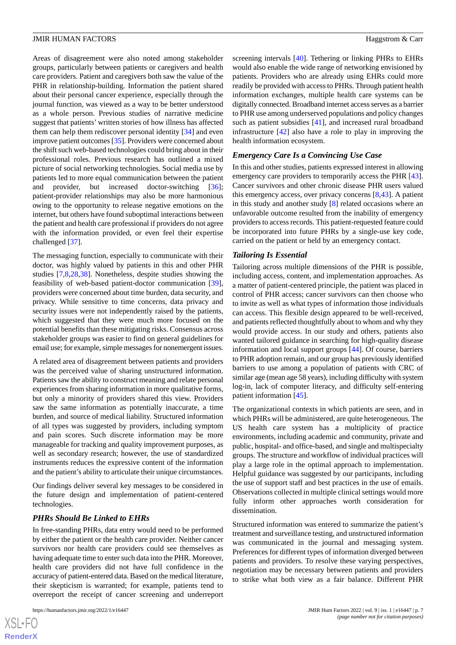Areas of disagreement were also noted among stakeholder groups, particularly between patients or caregivers and health care providers. Patient and caregivers both saw the value of the PHR in relationship-building. Information the patient shared about their personal cancer experience, especially through the journal function, was viewed as a way to be better understood as a whole person. Previous studies of narrative medicine suggest that patients' written stories of how illness has affected them can help them rediscover personal identity [\[34](#page-9-10)] and even improve patient outcomes [[35\]](#page-9-11). Providers were concerned about the shift such web-based technologies could bring about in their professional roles. Previous research has outlined a mixed picture of social networking technologies. Social media use by patients led to more equal communication between the patient and provider, but increased doctor-switching [[36\]](#page-9-12); patient-provider relationships may also be more harmonious owing to the opportunity to release negative emotions on the internet, but others have found suboptimal interactions between the patient and health care professional if providers do not agree with the information provided, or even feel their expertise challenged [[37\]](#page-9-13).

The messaging function, especially to communicate with their doctor, was highly valued by patients in this and other PHR studies [\[7](#page-8-3),[8,](#page-8-19)[28](#page-9-4),[38\]](#page-9-14). Nonetheless, despite studies showing the feasibility of web-based patient-doctor communication [[39\]](#page-9-15), providers were concerned about time burden, data security, and privacy. While sensitive to time concerns, data privacy and security issues were not independently raised by the patients, which suggested that they were much more focused on the potential benefits than these mitigating risks. Consensus across stakeholder groups was easier to find on general guidelines for email use; for example, simple messages for nonemergent issues.

A related area of disagreement between patients and providers was the perceived value of sharing unstructured information. Patients saw the ability to construct meaning and relate personal experiences from sharing information in more qualitative forms, but only a minority of providers shared this view. Providers saw the same information as potentially inaccurate, a time burden, and source of medical liability. Structured information of all types was suggested by providers, including symptom and pain scores. Such discrete information may be more manageable for tracking and quality improvement purposes, as well as secondary research; however, the use of standardized instruments reduces the expressive content of the information and the patient's ability to articulate their unique circumstances.

Our findings deliver several key messages to be considered in the future design and implementation of patient-centered technologies.

#### *PHRs Should Be Linked to EHRs*

In free-standing PHRs, data entry would need to be performed by either the patient or the health care provider. Neither cancer survivors nor health care providers could see themselves as having adequate time to enter such data into the PHR. Moreover, health care providers did not have full confidence in the accuracy of patient-entered data. Based on the medical literature, their skepticism is warranted; for example, patients tend to overreport the receipt of cancer screening and underreport

[XSL](http://www.w3.org/Style/XSL)•FO **[RenderX](http://www.renderx.com/)** screening intervals [\[40](#page-9-16)]. Tethering or linking PHRs to EHRs would also enable the wide range of networking envisioned by patients. Providers who are already using EHRs could more readily be provided with access to PHRs. Through patient health information exchanges, multiple health care systems can be digitally connected. Broadband internet access serves as a barrier to PHR use among underserved populations and policy changes such as patient subsidies [[41\]](#page-9-17), and increased rural broadband infrastructure [[42\]](#page-9-18) also have a role to play in improving the health information ecosystem.

#### *Emergency Care Is a Convincing Use Case*

In this and other studies, patients expressed interest in allowing emergency care providers to temporarily access the PHR [[43\]](#page-9-19). Cancer survivors and other chronic disease PHR users valued this emergency access, over privacy concerns [\[8](#page-8-19),[43\]](#page-9-19). A patient in this study and another study [[8](#page-8-19)] related occasions where an unfavorable outcome resulted from the inability of emergency providers to access records. This patient-requested feature could be incorporated into future PHRs by a single-use key code, carried on the patient or held by an emergency contact.

#### *Tailoring Is Essential*

Tailoring across multiple dimensions of the PHR is possible, including access, content, and implementation approaches. As a matter of patient-centered principle, the patient was placed in control of PHR access; cancer survivors can then choose who to invite as well as what types of information those individuals can access. This flexible design appeared to be well-received, and patients reflected thoughtfully about to whom and why they would provide access. In our study and others, patients also wanted tailored guidance in searching for high-quality disease information and local support groups [\[44](#page-9-20)]. Of course, barriers to PHR adoption remain, and our group has previously identified barriers to use among a population of patients with CRC of similar age (mean age 58 years), including difficulty with system log-in, lack of computer literacy, and difficulty self-entering patient information [\[45](#page-9-21)].

The organizational contexts in which patients are seen, and in which PHRs will be administered, are quite heterogeneous. The US health care system has a multiplicity of practice environments, including academic and community, private and public, hospital- and office-based, and single and multispecialty groups. The structure and workflow of individual practices will play a large role in the optimal approach to implementation. Helpful guidance was suggested by our participants, including the use of support staff and best practices in the use of emails. Observations collected in multiple clinical settings would more fully inform other approaches worth consideration for dissemination.

Structured information was entered to summarize the patient's treatment and surveillance testing, and unstructured information was communicated in the journal and messaging system. Preferences for different types of information diverged between patients and providers. To resolve these varying perspectives, negotiation may be necessary between patients and providers to strike what both view as a fair balance. Different PHR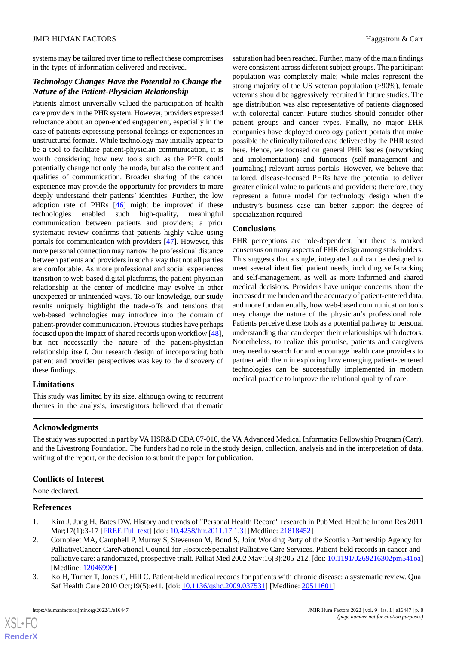systems may be tailored over time to reflect these compromises in the types of information delivered and received.

# *Technology Changes Have the Potential to Change the Nature of the Patient-Physician Relationship*

Patients almost universally valued the participation of health care providers in the PHR system. However, providers expressed reluctance about an open-ended engagement, especially in the case of patients expressing personal feelings or experiences in unstructured formats. While technology may initially appear to be a tool to facilitate patient-physician communication, it is worth considering how new tools such as the PHR could potentially change not only the mode, but also the content and qualities of communication. Broader sharing of the cancer experience may provide the opportunity for providers to more deeply understand their patients' identities. Further, the low adoption rate of PHRs [\[46](#page-9-22)] might be improved if these technologies enabled such high-quality, meaningful communication between patients and providers; a prior systematic review confirms that patients highly value using portals for communication with providers [\[47](#page-9-23)]. However, this more personal connection may narrow the professional distance between patients and providers in such a way that not all parties are comfortable. As more professional and social experiences transition to web-based digital platforms, the patient-physician relationship at the center of medicine may evolve in other unexpected or unintended ways. To our knowledge, our study results uniquely highlight the trade-offs and tensions that web-based technologies may introduce into the domain of patient-provider communication. Previous studies have perhaps focused upon the impact of shared records upon workflow [[48\]](#page-9-24), but not necessarily the nature of the patient-physician relationship itself. Our research design of incorporating both patient and provider perspectives was key to the discovery of these findings.

# **Limitations**

This study was limited by its size, although owing to recurrent themes in the analysis, investigators believed that thematic

saturation had been reached. Further, many of the main findings were consistent across different subject groups. The participant population was completely male; while males represent the strong majority of the US veteran population (>90%), female veterans should be aggressively recruited in future studies. The age distribution was also representative of patients diagnosed with colorectal cancer. Future studies should consider other patient groups and cancer types. Finally, no major EHR companies have deployed oncology patient portals that make possible the clinically tailored care delivered by the PHR tested here. Hence, we focused on general PHR issues (networking and implementation) and functions (self-management and journaling) relevant across portals. However, we believe that tailored, disease-focused PHRs have the potential to deliver greater clinical value to patients and providers; therefore, they represent a future model for technology design when the industry's business case can better support the degree of specialization required.

# **Conclusions**

PHR perceptions are role-dependent, but there is marked consensus on many aspects of PHR design among stakeholders. This suggests that a single, integrated tool can be designed to meet several identified patient needs, including self-tracking and self-management, as well as more informed and shared medical decisions. Providers have unique concerns about the increased time burden and the accuracy of patient-entered data, and more fundamentally, how web-based communication tools may change the nature of the physician's professional role. Patients perceive these tools as a potential pathway to personal understanding that can deepen their relationships with doctors. Nonetheless, to realize this promise, patients and caregivers may need to search for and encourage health care providers to partner with them in exploring how emerging patient-centered technologies can be successfully implemented in modern medical practice to improve the relational quality of care.

# **Acknowledgments**

The study was supported in part by VA HSR&D CDA 07-016, the VA Advanced Medical Informatics Fellowship Program (Carr), and the Livestrong Foundation. The funders had no role in the study design, collection, analysis and in the interpretation of data, writing of the report, or the decision to submit the paper for publication.

# <span id="page-7-0"></span>**Conflicts of Interest**

None declared.

#### **References**

[XSL](http://www.w3.org/Style/XSL)•FO **[RenderX](http://www.renderx.com/)**

- <span id="page-7-1"></span>1. Kim J, Jung H, Bates DW. History and trends of "Personal Health Record" research in PubMed. Healthc Inform Res 2011 Mar;17(1):3-17 [[FREE Full text\]](https://www.e-hir.org/DOIx.php?id=10.4258/hir.2011.17.1.3) [doi: [10.4258/hir.2011.17.1.3](http://dx.doi.org/10.4258/hir.2011.17.1.3)] [Medline: [21818452\]](http://www.ncbi.nlm.nih.gov/entrez/query.fcgi?cmd=Retrieve&db=PubMed&list_uids=21818452&dopt=Abstract)
- 2. Cornbleet MA, Campbell P, Murray S, Stevenson M, Bond S, Joint Working Party of the Scottish Partnership Agency for PalliativeCancer CareNational Council for HospiceSpecialist Palliative Care Services. Patient-held records in cancer and palliative care: a randomized, prospective trialt. Palliat Med 2002 May;16(3):205-212. [doi: [10.1191/0269216302pm541oa\]](http://dx.doi.org/10.1191/0269216302pm541oa) [Medline: [12046996](http://www.ncbi.nlm.nih.gov/entrez/query.fcgi?cmd=Retrieve&db=PubMed&list_uids=12046996&dopt=Abstract)]
- 3. Ko H, Turner T, Jones C, Hill C. Patient-held medical records for patients with chronic disease: a systematic review. Qual Saf Health Care 2010 Oct;19(5):e41. [doi: [10.1136/qshc.2009.037531](http://dx.doi.org/10.1136/qshc.2009.037531)] [Medline: [20511601](http://www.ncbi.nlm.nih.gov/entrez/query.fcgi?cmd=Retrieve&db=PubMed&list_uids=20511601&dopt=Abstract)]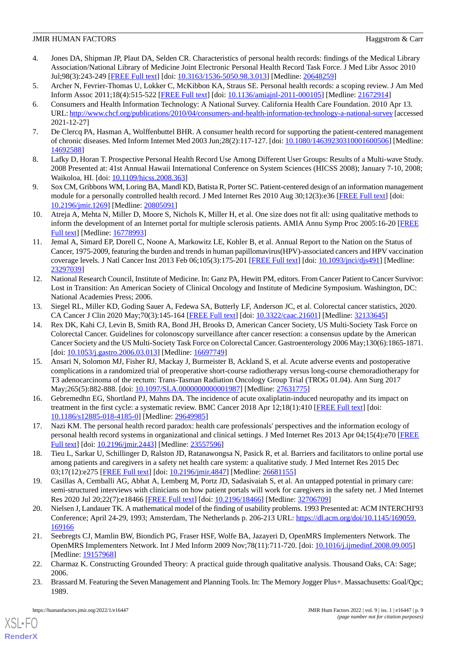- <span id="page-8-0"></span>4. Jones DA, Shipman JP, Plaut DA, Selden CR. Characteristics of personal health records: findings of the Medical Library Association/National Library of Medicine Joint Electronic Personal Health Record Task Force. J Med Libr Assoc 2010 Jul;98(3):243-249 [[FREE Full text\]](http://europepmc.org/abstract/MED/20648259) [doi: [10.3163/1536-5050.98.3.013](http://dx.doi.org/10.3163/1536-5050.98.3.013)] [Medline: [20648259](http://www.ncbi.nlm.nih.gov/entrez/query.fcgi?cmd=Retrieve&db=PubMed&list_uids=20648259&dopt=Abstract)]
- <span id="page-8-2"></span><span id="page-8-1"></span>5. Archer N, Fevrier-Thomas U, Lokker C, McKibbon KA, Straus SE. Personal health records: a scoping review. J Am Med Inform Assoc 2011;18(4):515-522 [\[FREE Full text](http://europepmc.org/abstract/MED/21672914)] [doi: [10.1136/amiajnl-2011-000105\]](http://dx.doi.org/10.1136/amiajnl-2011-000105) [Medline: [21672914\]](http://www.ncbi.nlm.nih.gov/entrez/query.fcgi?cmd=Retrieve&db=PubMed&list_uids=21672914&dopt=Abstract)
- 6. Consumers and Health Information Technology: A National Survey. California Health Care Foundation. 2010 Apr 13. URL:<http://www.chcf.org/publications/2010/04/consumers-and-health-information-technology-a-national-survey> [accessed 2021-12-27]
- <span id="page-8-19"></span><span id="page-8-3"></span>7. De Clercq PA, Hasman A, Wolffenbuttel BHR. A consumer health record for supporting the patient-centered management of chronic diseases. Med Inform Internet Med 2003 Jun;28(2):117-127. [doi: [10.1080/14639230310001600506\]](http://dx.doi.org/10.1080/14639230310001600506) [Medline: [14692588](http://www.ncbi.nlm.nih.gov/entrez/query.fcgi?cmd=Retrieve&db=PubMed&list_uids=14692588&dopt=Abstract)]
- <span id="page-8-4"></span>8. Lafky D, Horan T. Prospective Personal Health Record Use Among Different User Groups: Results of a Multi-wave Study. 2008 Presented at: 41st Annual Hawaii International Conference on System Sciences (HICSS 2008); January 7-10, 2008; Waikoloa, HI. [doi: [10.1109/hicss.2008.363\]](http://dx.doi.org/10.1109/hicss.2008.363)
- <span id="page-8-5"></span>9. Sox CM, Gribbons WM, Loring BA, Mandl KD, Batista R, Porter SC. Patient-centered design of an information management module for a personally controlled health record. J Med Internet Res 2010 Aug 30;12(3):e36 [[FREE Full text](https://www.jmir.org/2010/3/e36/)] [doi: [10.2196/jmir.1269](http://dx.doi.org/10.2196/jmir.1269)] [Medline: [20805091](http://www.ncbi.nlm.nih.gov/entrez/query.fcgi?cmd=Retrieve&db=PubMed&list_uids=20805091&dopt=Abstract)]
- <span id="page-8-6"></span>10. Atreja A, Mehta N, Miller D, Moore S, Nichols K, Miller H, et al. One size does not fit all: using qualitative methods to inform the development of an Internet portal for multiple sclerosis patients. AMIA Annu Symp Proc 2005:16-20 [\[FREE](http://europepmc.org/abstract/MED/16778993) [Full text\]](http://europepmc.org/abstract/MED/16778993) [Medline: [16778993\]](http://www.ncbi.nlm.nih.gov/entrez/query.fcgi?cmd=Retrieve&db=PubMed&list_uids=16778993&dopt=Abstract)
- <span id="page-8-7"></span>11. Jemal A, Simard EP, Dorell C, Noone A, Markowitz LE, Kohler B, et al. Annual Report to the Nation on the Status of Cancer, 1975-2009, featuring the burden and trends in human papillomavirus(HPV)-associated cancers and HPV vaccination coverage levels. J Natl Cancer Inst 2013 Feb 06;105(3):175-201 [\[FREE Full text\]](http://europepmc.org/abstract/MED/23297039) [doi: [10.1093/jnci/djs491\]](http://dx.doi.org/10.1093/jnci/djs491) [Medline: [23297039](http://www.ncbi.nlm.nih.gov/entrez/query.fcgi?cmd=Retrieve&db=PubMed&list_uids=23297039&dopt=Abstract)]
- <span id="page-8-8"></span>12. National Research Council, Institute of Medicine. In: Ganz PA, Hewitt PM, editors. From Cancer Patient to Cancer Survivor: Lost in Transition: An American Society of Clinical Oncology and Institute of Medicine Symposium. Washington, DC: National Academies Press; 2006.
- <span id="page-8-9"></span>13. Siegel RL, Miller KD, Goding Sauer A, Fedewa SA, Butterly LF, Anderson JC, et al. Colorectal cancer statistics, 2020. CA Cancer J Clin 2020 May;70(3):145-164 [\[FREE Full text\]](https://doi.org/10.3322/caac.21601) [doi: [10.3322/caac.21601](http://dx.doi.org/10.3322/caac.21601)] [Medline: [32133645](http://www.ncbi.nlm.nih.gov/entrez/query.fcgi?cmd=Retrieve&db=PubMed&list_uids=32133645&dopt=Abstract)]
- <span id="page-8-10"></span>14. Rex DK, Kahi CJ, Levin B, Smith RA, Bond JH, Brooks D, American Cancer Society, US Multi-Society Task Force on Colorectal Cancer. Guidelines for colonoscopy surveillance after cancer resection: a consensus update by the American Cancer Society and the US Multi-Society Task Force on Colorectal Cancer. Gastroenterology 2006 May;130(6):1865-1871. [doi: [10.1053/j.gastro.2006.03.013](http://dx.doi.org/10.1053/j.gastro.2006.03.013)] [Medline: [16697749](http://www.ncbi.nlm.nih.gov/entrez/query.fcgi?cmd=Retrieve&db=PubMed&list_uids=16697749&dopt=Abstract)]
- <span id="page-8-11"></span>15. Ansari N, Solomon MJ, Fisher RJ, Mackay J, Burmeister B, Ackland S, et al. Acute adverse events and postoperative complications in a randomized trial of preoperative short-course radiotherapy versus long-course chemoradiotherapy for T3 adenocarcinoma of the rectum: Trans-Tasman Radiation Oncology Group Trial (TROG 01.04). Ann Surg 2017 May;265(5):882-888. [doi: [10.1097/SLA.0000000000001987\]](http://dx.doi.org/10.1097/SLA.0000000000001987) [Medline: [27631775](http://www.ncbi.nlm.nih.gov/entrez/query.fcgi?cmd=Retrieve&db=PubMed&list_uids=27631775&dopt=Abstract)]
- <span id="page-8-13"></span><span id="page-8-12"></span>16. Gebremedhn EG, Shortland PJ, Mahns DA. The incidence of acute oxaliplatin-induced neuropathy and its impact on treatment in the first cycle: a systematic review. BMC Cancer 2018 Apr 12;18(1):410 [\[FREE Full text\]](https://bmccancer.biomedcentral.com/articles/10.1186/s12885-018-4185-0) [doi: [10.1186/s12885-018-4185-0\]](http://dx.doi.org/10.1186/s12885-018-4185-0) [Medline: [29649985](http://www.ncbi.nlm.nih.gov/entrez/query.fcgi?cmd=Retrieve&db=PubMed&list_uids=29649985&dopt=Abstract)]
- <span id="page-8-14"></span>17. Nazi KM. The personal health record paradox: health care professionals' perspectives and the information ecology of personal health record systems in organizational and clinical settings. J Med Internet Res 2013 Apr 04;15(4):e70 [[FREE](https://www.jmir.org/2013/4/e70/) [Full text\]](https://www.jmir.org/2013/4/e70/) [doi: [10.2196/jmir.2443](http://dx.doi.org/10.2196/jmir.2443)] [Medline: [23557596\]](http://www.ncbi.nlm.nih.gov/entrez/query.fcgi?cmd=Retrieve&db=PubMed&list_uids=23557596&dopt=Abstract)
- <span id="page-8-15"></span>18. Tieu L, Sarkar U, Schillinger D, Ralston JD, Ratanawongsa N, Pasick R, et al. Barriers and facilitators to online portal use among patients and caregivers in a safety net health care system: a qualitative study. J Med Internet Res 2015 Dec 03;17(12):e275 [\[FREE Full text](https://www.jmir.org/2015/12/e275/)] [doi: [10.2196/jmir.4847\]](http://dx.doi.org/10.2196/jmir.4847) [Medline: [26681155](http://www.ncbi.nlm.nih.gov/entrez/query.fcgi?cmd=Retrieve&db=PubMed&list_uids=26681155&dopt=Abstract)]
- <span id="page-8-16"></span>19. Casillas A, Cemballi AG, Abhat A, Lemberg M, Portz JD, Sadasivaiah S, et al. An untapped potential in primary care: semi-structured interviews with clinicians on how patient portals will work for caregivers in the safety net. J Med Internet Res 2020 Jul 20;22(7):e18466 [\[FREE Full text\]](https://www.jmir.org/2020/7/e18466/) [doi: [10.2196/18466](http://dx.doi.org/10.2196/18466)] [Medline: [32706709\]](http://www.ncbi.nlm.nih.gov/entrez/query.fcgi?cmd=Retrieve&db=PubMed&list_uids=32706709&dopt=Abstract)
- <span id="page-8-17"></span>20. Nielsen J, Landauer TK. A mathematical model of the finding of usability problems. 1993 Presented at: ACM INTERCHI'93 Conference; April 24-29, 1993; Amsterdam, The Netherlands p. 206-213 URL: [https://dl.acm.org/doi/10.1145/169059.](https://dl.acm.org/doi/10.1145/169059.169166) [169166](https://dl.acm.org/doi/10.1145/169059.169166)
- <span id="page-8-18"></span>21. Seebregts CJ, Mamlin BW, Biondich PG, Fraser HSF, Wolfe BA, Jazayeri D, OpenMRS Implementers Network. The OpenMRS Implementers Network. Int J Med Inform 2009 Nov;78(11):711-720. [doi: [10.1016/j.ijmedinf.2008.09.005\]](http://dx.doi.org/10.1016/j.ijmedinf.2008.09.005) [Medline: [19157968](http://www.ncbi.nlm.nih.gov/entrez/query.fcgi?cmd=Retrieve&db=PubMed&list_uids=19157968&dopt=Abstract)]
- 22. Charmaz K. Constructing Grounded Theory: A practical guide through qualitative analysis. Thousand Oaks, CA: Sage; 2006.
- 23. Brassard M. Featuring the Seven Management and Planning Tools. In: The Memory Jogger Plus+. Massachusetts: Goal/Qpc; 1989.

[XSL](http://www.w3.org/Style/XSL)•FO **[RenderX](http://www.renderx.com/)**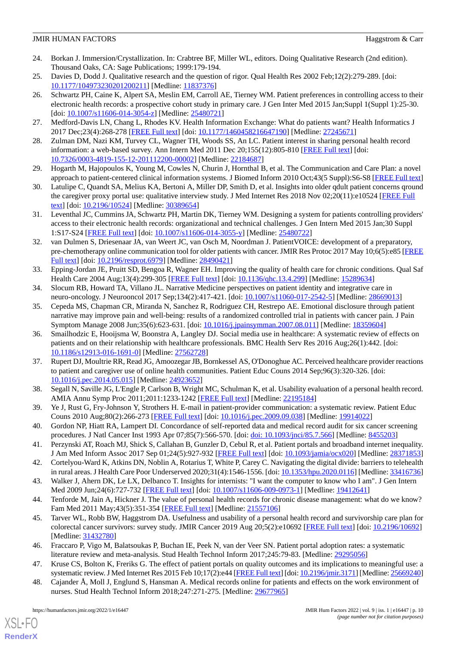- <span id="page-9-0"></span>24. Borkan J. Immersion/Crystallization. In: Crabtree BF, Miller WL, editors. Doing Qualitative Research (2nd edition). Thousand Oaks, CA: Sage Publications; 1999:179-194.
- <span id="page-9-2"></span><span id="page-9-1"></span>25. Davies D, Dodd J. Qualitative research and the question of rigor. Qual Health Res 2002 Feb;12(2):279-289. [doi: [10.1177/104973230201200211\]](http://dx.doi.org/10.1177/104973230201200211) [Medline: [11837376\]](http://www.ncbi.nlm.nih.gov/entrez/query.fcgi?cmd=Retrieve&db=PubMed&list_uids=11837376&dopt=Abstract)
- 26. Schwartz PH, Caine K, Alpert SA, Meslin EM, Carroll AE, Tierney WM. Patient preferences in controlling access to their electronic health records: a prospective cohort study in primary care. J Gen Inter Med 2015 Jan;Suppl 1(Suppl 1):25-30. [doi: [10.1007/s11606-014-3054-z\]](http://dx.doi.org/10.1007/s11606-014-3054-z) [Medline: [25480721](http://www.ncbi.nlm.nih.gov/entrez/query.fcgi?cmd=Retrieve&db=PubMed&list_uids=25480721&dopt=Abstract)]
- <span id="page-9-4"></span><span id="page-9-3"></span>27. Medford-Davis LN, Chang L, Rhodes KV. Health Information Exchange: What do patients want? Health Informatics J 2017 Dec;23(4):268-278 [[FREE Full text\]](https://journals.sagepub.com/doi/10.1177/1460458216647190?url_ver=Z39.88-2003&rfr_id=ori:rid:crossref.org&rfr_dat=cr_pub%3dpubmed) [doi: [10.1177/1460458216647190](http://dx.doi.org/10.1177/1460458216647190)] [Medline: [27245671](http://www.ncbi.nlm.nih.gov/entrez/query.fcgi?cmd=Retrieve&db=PubMed&list_uids=27245671&dopt=Abstract)]
- <span id="page-9-5"></span>28. Zulman DM, Nazi KM, Turvey CL, Wagner TH, Woods SS, An LC. Patient interest in sharing personal health record information: a web-based survey. Ann Intern Med 2011 Dec 20;155(12):805-810 [\[FREE Full text\]](https://www.acpjournals.org/doi/abs/10.7326/0003-4819-155-12-201112200-00002?url_ver=Z39.88-2003&rfr_id=ori:rid:crossref.org&rfr_dat=cr_pub%3dpubmed) [doi: [10.7326/0003-4819-155-12-201112200-00002](http://dx.doi.org/10.7326/0003-4819-155-12-201112200-00002)] [Medline: [22184687](http://www.ncbi.nlm.nih.gov/entrez/query.fcgi?cmd=Retrieve&db=PubMed&list_uids=22184687&dopt=Abstract)]
- <span id="page-9-6"></span>29. Hogarth M, Hajopoulos K, Young M, Cowles N, Churin J, Hornthal B, et al. The Communication and Care Plan: a novel approach to patient-centered clinical information systems. J Biomed Inform 2010 Oct;43(5 Suppl):S6-S8 [[FREE Full text](https://pubmed.ncbi.nlm.nih.gov/20937486/)]
- <span id="page-9-7"></span>30. Latulipe C, Quandt SA, Melius KA, Bertoni A, Miller DP, Smith D, et al. Insights into older qdult patient concerns qround the caregiver proxy portal use: qualitative interview study. J Med Internet Res 2018 Nov 02;20(11):e10524 [[FREE Full](https://www.jmir.org/2018/11/e10524/) [text](https://www.jmir.org/2018/11/e10524/)] [doi: [10.2196/10524\]](http://dx.doi.org/10.2196/10524) [Medline: [30389654\]](http://www.ncbi.nlm.nih.gov/entrez/query.fcgi?cmd=Retrieve&db=PubMed&list_uids=30389654&dopt=Abstract)
- <span id="page-9-8"></span>31. Leventhal JC, Cummins JA, Schwartz PH, Martin DK, Tierney WM. Designing a system for patients controlling providers' access to their electronic health records: organizational and technical challenges. J Gen Intern Med 2015 Jan;30 Suppl 1:S17-S24 [[FREE Full text](http://europepmc.org/abstract/MED/25480722)] [doi: [10.1007/s11606-014-3055-y](http://dx.doi.org/10.1007/s11606-014-3055-y)] [Medline: [25480722](http://www.ncbi.nlm.nih.gov/entrez/query.fcgi?cmd=Retrieve&db=PubMed&list_uids=25480722&dopt=Abstract)]
- <span id="page-9-9"></span>32. van Dulmen S, Driesenaar JA, van Weert JC, van Osch M, Noordman J. PatientVOICE: development of a preparatory, pre-chemotherapy online communication tool for older patients with cancer. JMIR Res Protoc 2017 May 10;6(5):e85 [\[FREE](https://www.researchprotocols.org/2017/5/e85/) [Full text\]](https://www.researchprotocols.org/2017/5/e85/) [doi: [10.2196/resprot.6979\]](http://dx.doi.org/10.2196/resprot.6979) [Medline: [28490421](http://www.ncbi.nlm.nih.gov/entrez/query.fcgi?cmd=Retrieve&db=PubMed&list_uids=28490421&dopt=Abstract)]
- <span id="page-9-11"></span><span id="page-9-10"></span>33. Epping-Jordan JE, Pruitt SD, Bengoa R, Wagner EH. Improving the quality of health care for chronic conditions. Qual Saf Health Care 2004 Aug;13(4):299-305 [\[FREE Full text\]](https://qhc.bmj.com/lookup/pmidlookup?view=long&pmid=15289634) [doi: [10.1136/qhc.13.4.299](http://dx.doi.org/10.1136/qhc.13.4.299)] [Medline: [15289634\]](http://www.ncbi.nlm.nih.gov/entrez/query.fcgi?cmd=Retrieve&db=PubMed&list_uids=15289634&dopt=Abstract)
- 34. Slocum RB, Howard TA, Villano JL. Narrative Medicine perspectives on patient identity and integrative care in neuro-oncology. J Neurooncol 2017 Sep;134(2):417-421. [doi: [10.1007/s11060-017-2542-5\]](http://dx.doi.org/10.1007/s11060-017-2542-5) [Medline: [28669013\]](http://www.ncbi.nlm.nih.gov/entrez/query.fcgi?cmd=Retrieve&db=PubMed&list_uids=28669013&dopt=Abstract)
- <span id="page-9-12"></span>35. Cepeda MS, Chapman CR, Miranda N, Sanchez R, Rodriguez CH, Restrepo AE. Emotional disclosure through patient narrative may improve pain and well-being: results of a randomized controlled trial in patients with cancer pain. J Pain Symptom Manage 2008 Jun;35(6):623-631. [doi: [10.1016/j.jpainsymman.2007.08.011\]](http://dx.doi.org/10.1016/j.jpainsymman.2007.08.011) [Medline: [18359604\]](http://www.ncbi.nlm.nih.gov/entrez/query.fcgi?cmd=Retrieve&db=PubMed&list_uids=18359604&dopt=Abstract)
- <span id="page-9-13"></span>36. Smailhodzic E, Hooijsma W, Boonstra A, Langley DJ. Social media use in healthcare: A systematic review of effects on patients and on their relationship with healthcare professionals. BMC Health Serv Res 2016 Aug;26(1):442. [doi: [10.1186/s12913-016-1691-0\]](http://dx.doi.org/10.1186/s12913-016-1691-0) [Medline: [27562728](http://www.ncbi.nlm.nih.gov/entrez/query.fcgi?cmd=Retrieve&db=PubMed&list_uids=27562728&dopt=Abstract)]
- <span id="page-9-15"></span><span id="page-9-14"></span>37. Rupert DJ, Moultrie RR, Read JG, Amoozegar JB, Bornkessel AS, O'Donoghue AC. Perceived healthcare provider reactions to patient and caregiver use of online health communities. Patient Educ Couns 2014 Sep;96(3):320-326. [doi: [10.1016/j.pec.2014.05.015\]](http://dx.doi.org/10.1016/j.pec.2014.05.015) [Medline: [24923652](http://www.ncbi.nlm.nih.gov/entrez/query.fcgi?cmd=Retrieve&db=PubMed&list_uids=24923652&dopt=Abstract)]
- <span id="page-9-16"></span>38. Segall N, Saville JG, L'Engle P, Carlson B, Wright MC, Schulman K, et al. Usability evaluation of a personal health record. AMIA Annu Symp Proc 2011;2011:1233-1242 [[FREE Full text](http://europepmc.org/abstract/MED/22195184)] [Medline: [22195184\]](http://www.ncbi.nlm.nih.gov/entrez/query.fcgi?cmd=Retrieve&db=PubMed&list_uids=22195184&dopt=Abstract)
- <span id="page-9-18"></span><span id="page-9-17"></span>39. Ye J, Rust G, Fry-Johnson Y, Strothers H. E-mail in patient-provider communication: a systematic review. Patient Educ Couns 2010 Aug;80(2):266-273 [[FREE Full text](http://europepmc.org/abstract/MED/19914022)] [doi: [10.1016/j.pec.2009.09.038](http://dx.doi.org/10.1016/j.pec.2009.09.038)] [Medline: [19914022](http://www.ncbi.nlm.nih.gov/entrez/query.fcgi?cmd=Retrieve&db=PubMed&list_uids=19914022&dopt=Abstract)]
- <span id="page-9-19"></span>40. Gordon NP, Hiatt RA, Lampert DI. Concordance of self-reported data and medical record audit for six cancer screening procedures. J Natl Cancer Inst 1993 Apr 07;85(7):566-570. [doi: [doi: 10.1093/jnci/85.7.566](http://dx.doi.org/doi: 10.1093/jnci/85.7.566)] [Medline: [8455203](http://www.ncbi.nlm.nih.gov/entrez/query.fcgi?cmd=Retrieve&db=PubMed&list_uids=8455203&dopt=Abstract)]
- <span id="page-9-20"></span>41. Perzynski AT, Roach MJ, Shick S, Callahan B, Gunzler D, Cebul R, et al. Patient portals and broadband internet inequality. J Am Med Inform Assoc 2017 Sep 01;24(5):927-932 [\[FREE Full text\]](http://europepmc.org/abstract/MED/28371853) [doi: [10.1093/jamia/ocx020\]](http://dx.doi.org/10.1093/jamia/ocx020) [Medline: [28371853](http://www.ncbi.nlm.nih.gov/entrez/query.fcgi?cmd=Retrieve&db=PubMed&list_uids=28371853&dopt=Abstract)]
- <span id="page-9-21"></span>42. Cortelyou-Ward K, Atkins DN, Noblin A, Rotarius T, White P, Carey C. Navigating the digital divide: barriers to telehealth in rural areas. J Health Care Poor Underserved 2020;31(4):1546-1556. [doi: [10.1353/hpu.2020.0116\]](http://dx.doi.org/10.1353/hpu.2020.0116) [Medline: [33416736](http://www.ncbi.nlm.nih.gov/entrez/query.fcgi?cmd=Retrieve&db=PubMed&list_uids=33416736&dopt=Abstract)]
- 43. Walker J, Ahern DK, Le LX, Delbanco T. Insights for internists: "I want the computer to know who I am". J Gen Intern Med 2009 Jun;24(6):727-732 [\[FREE Full text](http://europepmc.org/abstract/MED/19412641)] [doi: [10.1007/s11606-009-0973-1\]](http://dx.doi.org/10.1007/s11606-009-0973-1) [Medline: [19412641\]](http://www.ncbi.nlm.nih.gov/entrez/query.fcgi?cmd=Retrieve&db=PubMed&list_uids=19412641&dopt=Abstract)
- <span id="page-9-23"></span><span id="page-9-22"></span>44. Tenforde M, Jain A, Hickner J. The value of personal health records for chronic disease management: what do we know? Fam Med 2011 May;43(5):351-354 [[FREE Full text](http://www.stfm.org/fmhub/fm2011/May/Mark351.pdf)] [Medline: [21557106\]](http://www.ncbi.nlm.nih.gov/entrez/query.fcgi?cmd=Retrieve&db=PubMed&list_uids=21557106&dopt=Abstract)
- <span id="page-9-24"></span>45. Tarver WL, Robb BW, Haggstrom DA. Usefulness and usability of a personal health record and survivorship care plan for colorectal cancer survivors: survey study. JMIR Cancer 2019 Aug 20;5(2):e10692 [[FREE Full text](https://cancer.jmir.org/2019/2/e10692/)] [doi: [10.2196/10692\]](http://dx.doi.org/10.2196/10692) [Medline: [31432780](http://www.ncbi.nlm.nih.gov/entrez/query.fcgi?cmd=Retrieve&db=PubMed&list_uids=31432780&dopt=Abstract)]
- 46. Fraccaro P, Vigo M, Balatsoukas P, Buchan IE, Peek N, van der Veer SN. Patient portal adoption rates: a systematic literature review and meta-analysis. Stud Health Technol Inform 2017;245:79-83. [Medline: [29295056\]](http://www.ncbi.nlm.nih.gov/entrez/query.fcgi?cmd=Retrieve&db=PubMed&list_uids=29295056&dopt=Abstract)
- 47. Kruse CS, Bolton K, Freriks G. The effect of patient portals on quality outcomes and its implications to meaningful use: a systematic review. J Med Internet Res 2015 Feb 10;17(2):e44 [\[FREE Full text](https://www.jmir.org/2015/2/e44/)] [doi: [10.2196/jmir.3171](http://dx.doi.org/10.2196/jmir.3171)] [Medline: [25669240\]](http://www.ncbi.nlm.nih.gov/entrez/query.fcgi?cmd=Retrieve&db=PubMed&list_uids=25669240&dopt=Abstract)
- 48. Cajander Å, Moll J, Englund S, Hansman A. Medical records online for patients and effects on the work environment of nurses. Stud Health Technol Inform 2018;247:271-275. [Medline: [29677965\]](http://www.ncbi.nlm.nih.gov/entrez/query.fcgi?cmd=Retrieve&db=PubMed&list_uids=29677965&dopt=Abstract)

 $XS$  • FO **[RenderX](http://www.renderx.com/)**